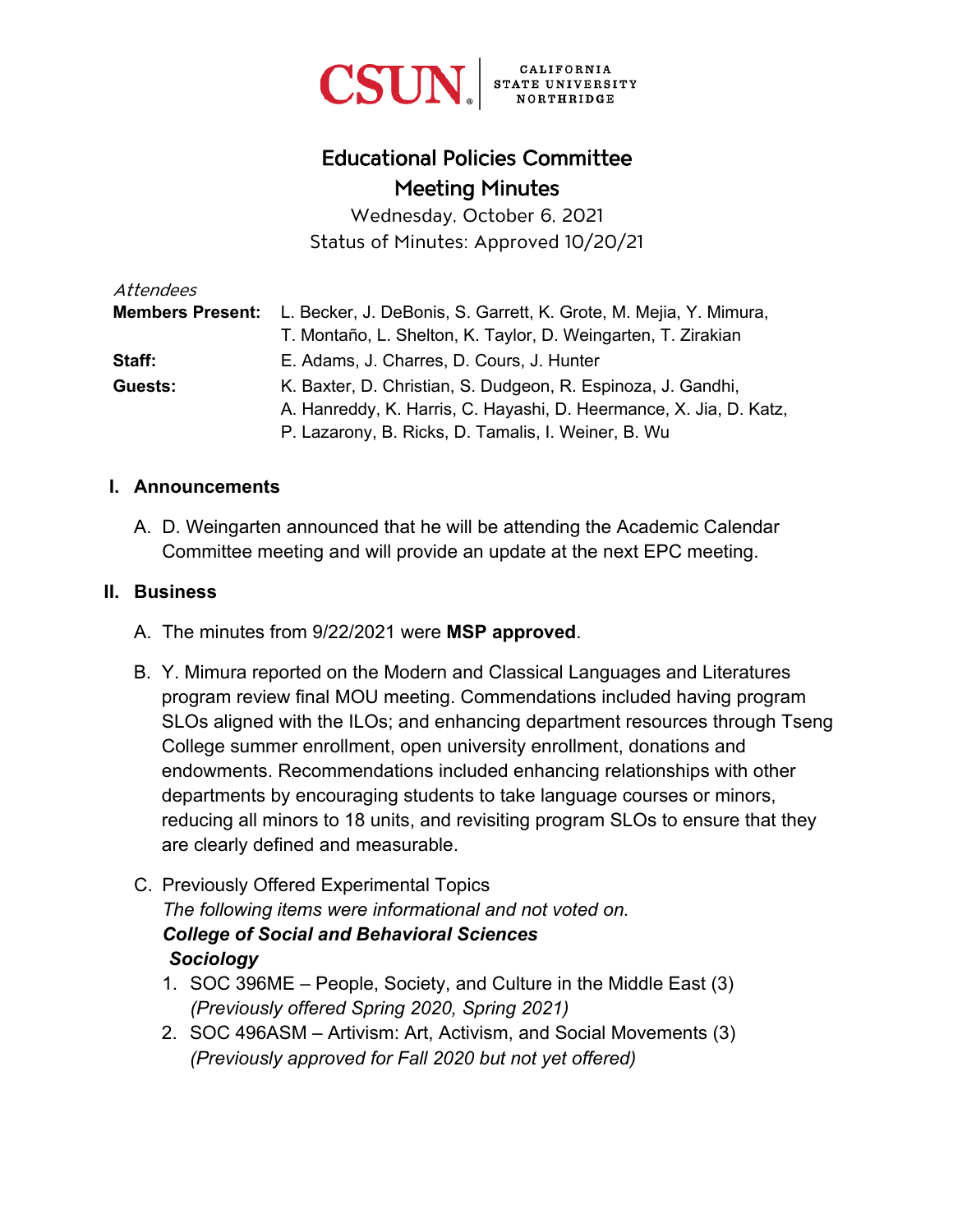

# Educational Policies Committee Meeting Minutes

Wednesday, October 6, 2021 Status of Minutes: Approved 10/20/21

| Attendees |                                                                                    |
|-----------|------------------------------------------------------------------------------------|
|           | Members Present: L. Becker, J. DeBonis, S. Garrett, K. Grote, M. Mejia, Y. Mimura, |
|           | T. Montaño, L. Shelton, K. Taylor, D. Weingarten, T. Zirakian                      |
| Staff:    | E. Adams, J. Charres, D. Cours, J. Hunter                                          |
| Guests:   | K. Baxter, D. Christian, S. Dudgeon, R. Espinoza, J. Gandhi,                       |
|           | A. Hanreddy, K. Harris, C. Hayashi, D. Heermance, X. Jia, D. Katz,                 |
|           | P. Lazarony, B. Ricks, D. Tamalis, I. Weiner, B. Wu                                |

#### **I. Announcements**

A. D. Weingarten announced that he will be attending the Academic Calendar Committee meeting and will provide an update at the next EPC meeting.

#### **II. Business**

- A. The minutes from 9/22/2021 were **MSP approved**.
- B. Y. Mimura reported on the Modern and Classical Languages and Literatures program review final MOU meeting. Commendations included having program SLOs aligned with the ILOs; and enhancing department resources through Tseng College summer enrollment, open university enrollment, donations and endowments. Recommendations included enhancing relationships with other departments by encouraging students to take language courses or minors, reducing all minors to 18 units, and revisiting program SLOs to ensure that they are clearly defined and measurable.
- C. Previously Offered Experimental Topics *The following items were informational and not voted on. College of Social and Behavioral Sciences Sociology* 
	- 1. SOC 396ME People, Society, and Culture in the Middle East (3) *(Previously offered Spring 2020, Spring 2021)*
	- 2. SOC 496ASM Artivism: Art, Activism, and Social Movements (3) *(Previously approved for Fall 2020 but not yet offered)*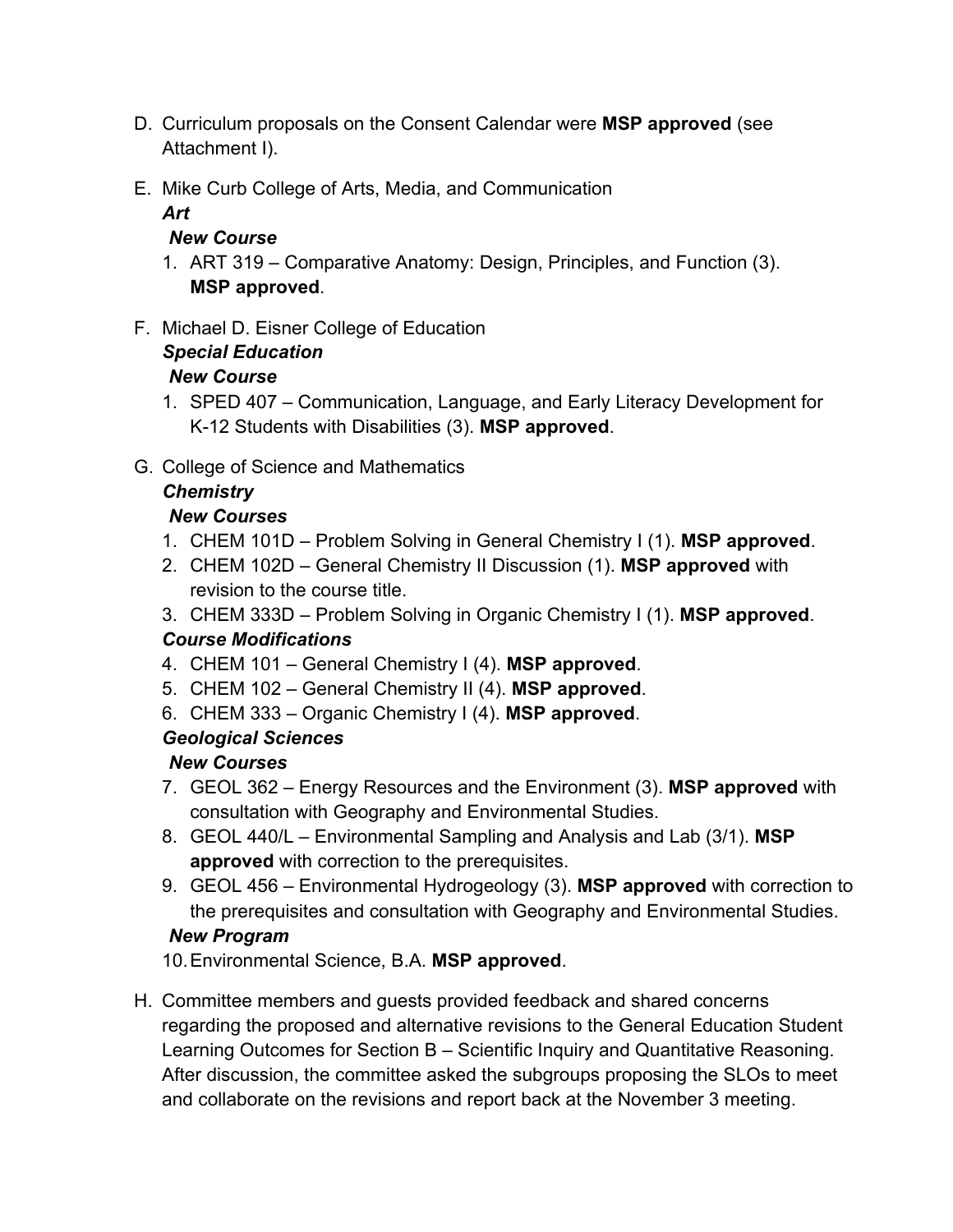- D. Curriculum proposals on the Consent Calendar were **MSP approved** (see Attachment I).
- E. Mike Curb College of Arts, Media, and Communication

*Art*

#### *New Course*

- 1. ART 319 Comparative Anatomy: Design, Principles, and Function (3). **MSP approved**.
- F. Michael D. Eisner College of Education *Special Education New Course*
	- 1. SPED 407 Communication, Language, and Early Literacy Development for K-12 Students with Disabilities (3). **MSP approved**.
- G. College of Science and Mathematics

# *Chemistry*

# *New Courses*

- 1. CHEM 101D Problem Solving in General Chemistry I (1). **MSP approved**.
- 2. CHEM 102D General Chemistry II Discussion (1). **MSP approved** with revision to the course title.
- 3. CHEM 333D Problem Solving in Organic Chemistry I (1). **MSP approved**.

# *Course Modifications*

- 4. CHEM 101 General Chemistry I (4). **MSP approved**.
- 5. CHEM 102 General Chemistry II (4). **MSP approved**.
- 6. CHEM 333 Organic Chemistry I (4). **MSP approved**.

# *Geological Sciences*

# *New Courses*

- 7. GEOL 362 Energy Resources and the Environment (3). **MSP approved** with consultation with Geography and Environmental Studies.
- 8. GEOL 440/L Environmental Sampling and Analysis and Lab (3/1). **MSP approved** with correction to the prerequisites.
- 9. GEOL 456 Environmental Hydrogeology (3). **MSP approved** with correction to the prerequisites and consultation with Geography and Environmental Studies. *New Program*

# 10. Environmental Science, B.A. **MSP approved**.

H. Committee members and guests provided feedback and shared concerns regarding the proposed and alternative revisions to the General Education Student Learning Outcomes for Section B – Scientific Inquiry and Quantitative Reasoning. After discussion, the committee asked the subgroups proposing the SLOs to meet and collaborate on the revisions and report back at the November 3 meeting.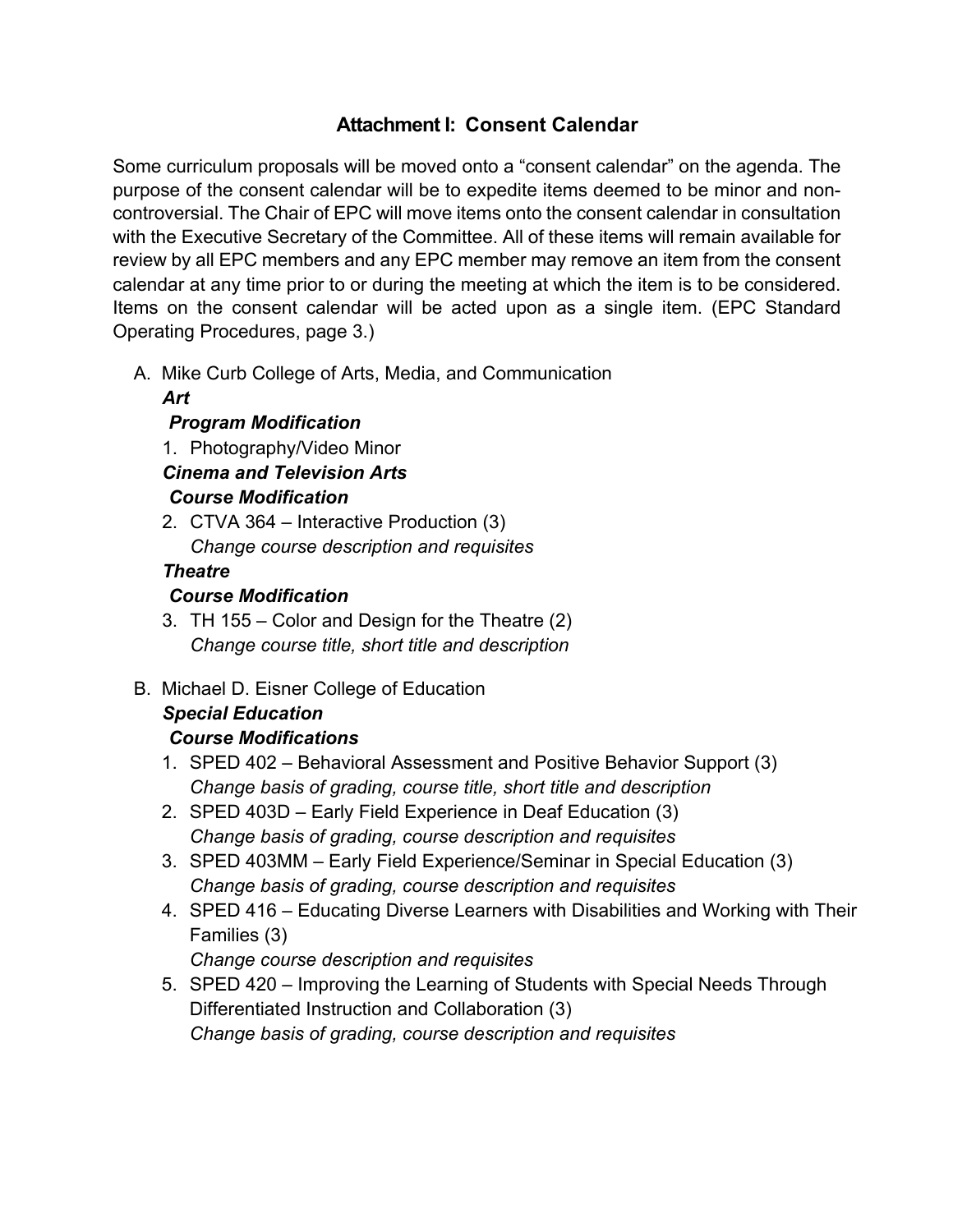# **Attachment I: Consent Calendar**

Some curriculum proposals will be moved onto a "consent calendar" on the agenda. The purpose of the consent calendar will be to expedite items deemed to be minor and noncontroversial. The Chair of EPC will move items onto the consent calendar in consultation with the Executive Secretary of the Committee. All of these items will remain available for review by all EPC members and any EPC member may remove an item from the consent calendar at any time prior to or during the meeting at which the item is to be considered. Items on the consent calendar will be acted upon as a single item. (EPC Standard Operating Procedures, page 3.)

A. Mike Curb College of Arts, Media, and Communication

#### *Art*

#### *Program Modification*

1. Photography/Video Minor

*Cinema and Television Arts* 

*Course Modification* 

2. CTVA 364 – Interactive Production (3) *Change course description and requisites*

#### *Theatre*

#### *Course Modification*

- 3. TH 155 Color and Design for the Theatre (2) *Change course title, short title and description*
- B. Michael D. Eisner College of Education

# *Special Education*

# *Course Modifications*

- 1. SPED 402 Behavioral Assessment and Positive Behavior Support (3) *Change basis of grading, course title, short title and description*
- 2. SPED 403D Early Field Experience in Deaf Education (3) *Change basis of grading, course description and requisites*
- 3. SPED 403MM Early Field Experience/Seminar in Special Education (3) *Change basis of grading, course description and requisites*
- 4. SPED 416 Educating Diverse Learners with Disabilities and Working with Their Families (3)

*Change course description and requisites*

5. SPED 420 – Improving the Learning of Students with Special Needs Through Differentiated Instruction and Collaboration (3) *Change basis of grading, course description and requisites*